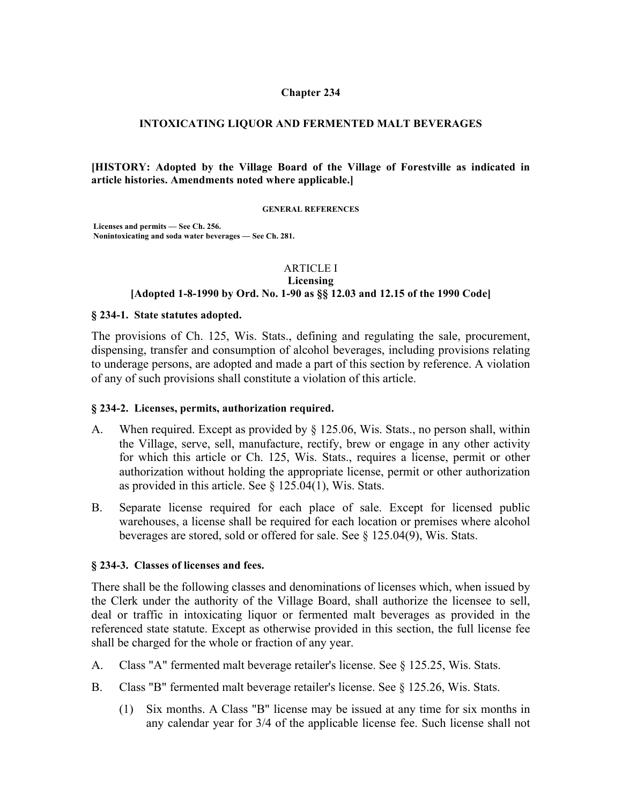### **Chapter 234**

### **INTOXICATING LIQUOR AND FERMENTED MALT BEVERAGES**

**[HISTORY: Adopted by the Village Board of the Village of Forestville as indicated in article histories. Amendments noted where applicable.]**

**GENERAL REFERENCES**

**Licenses and permits — See Ch. 256. Nonintoxicating and soda water beverages — See Ch. 281.**

### ARTICLE I

#### **Licensing [Adopted 1-8-1990 by Ord. No. 1-90 as §§ 12.03 and 12.15 of the 1990 Code]**

#### **§ 234-1. State statutes adopted.**

The provisions of Ch. 125, Wis. Stats., defining and regulating the sale, procurement, dispensing, transfer and consumption of alcohol beverages, including provisions relating to underage persons, are adopted and made a part of this section by reference. A violation of any of such provisions shall constitute a violation of this article.

#### **§ 234-2. Licenses, permits, authorization required.**

- A. When required. Except as provided by § 125.06, Wis. Stats., no person shall, within the Village, serve, sell, manufacture, rectify, brew or engage in any other activity for which this article or Ch. 125, Wis. Stats., requires a license, permit or other authorization without holding the appropriate license, permit or other authorization as provided in this article. See § 125.04(1), Wis. Stats.
- B. Separate license required for each place of sale. Except for licensed public warehouses, a license shall be required for each location or premises where alcohol beverages are stored, sold or offered for sale. See § 125.04(9), Wis. Stats.

#### **§ 234-3. Classes of licenses and fees.**

There shall be the following classes and denominations of licenses which, when issued by the Clerk under the authority of the Village Board, shall authorize the licensee to sell, deal or traffic in intoxicating liquor or fermented malt beverages as provided in the referenced state statute. Except as otherwise provided in this section, the full license fee shall be charged for the whole or fraction of any year.

- A. Class "A" fermented malt beverage retailer's license. See § 125.25, Wis. Stats.
- B. Class "B" fermented malt beverage retailer's license. See § 125.26, Wis. Stats.
	- (1) Six months. A Class "B" license may be issued at any time for six months in any calendar year for 3/4 of the applicable license fee. Such license shall not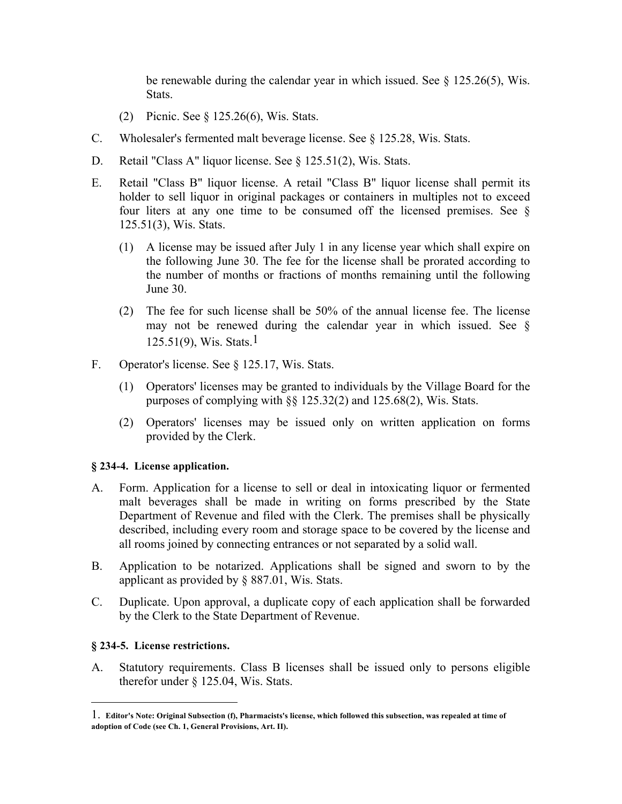be renewable during the calendar year in which issued. See  $\S$  125.26(5), Wis. **Stats**.

- (2) Picnic. See § 125.26(6), Wis. Stats.
- C. Wholesaler's fermented malt beverage license. See § 125.28, Wis. Stats.
- D. Retail "Class A" liquor license. See § 125.51(2), Wis. Stats.
- E. Retail "Class B" liquor license. A retail "Class B" liquor license shall permit its holder to sell liquor in original packages or containers in multiples not to exceed four liters at any one time to be consumed off the licensed premises. See § 125.51(3), Wis. Stats.
	- (1) A license may be issued after July 1 in any license year which shall expire on the following June 30. The fee for the license shall be prorated according to the number of months or fractions of months remaining until the following June 30.
	- (2) The fee for such license shall be 50% of the annual license fee. The license may not be renewed during the calendar year in which issued. See §  $125.51(9)$ , Wis. Stats.<sup>1</sup>
- F. Operator's license. See § 125.17, Wis. Stats.
	- (1) Operators' licenses may be granted to individuals by the Village Board for the purposes of complying with §§ 125.32(2) and 125.68(2), Wis. Stats.
	- (2) Operators' licenses may be issued only on written application on forms provided by the Clerk.

## **§ 234-4. License application.**

- A. Form. Application for a license to sell or deal in intoxicating liquor or fermented malt beverages shall be made in writing on forms prescribed by the State Department of Revenue and filed with the Clerk. The premises shall be physically described, including every room and storage space to be covered by the license and all rooms joined by connecting entrances or not separated by a solid wall.
- B. Application to be notarized. Applications shall be signed and sworn to by the applicant as provided by § 887.01, Wis. Stats.
- C. Duplicate. Upon approval, a duplicate copy of each application shall be forwarded by the Clerk to the State Department of Revenue.

## **§ 234-5. License restrictions.**

 $\overline{a}$ 

A. Statutory requirements. Class B licenses shall be issued only to persons eligible therefor under § 125.04, Wis. Stats.

<sup>1.</sup> **Editor's Note: Original Subsection (f), Pharmacists's license, which followed this subsection, was repealed at time of adoption of Code (see Ch. 1, General Provisions, Art. II).**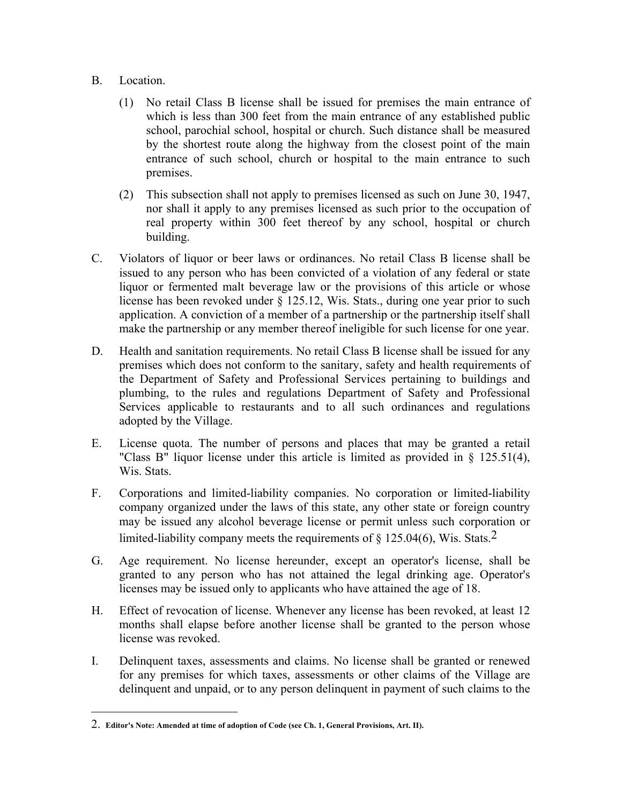## B. Location.

 $\overline{a}$ 

- (1) No retail Class B license shall be issued for premises the main entrance of which is less than 300 feet from the main entrance of any established public school, parochial school, hospital or church. Such distance shall be measured by the shortest route along the highway from the closest point of the main entrance of such school, church or hospital to the main entrance to such premises.
- (2) This subsection shall not apply to premises licensed as such on June 30, 1947, nor shall it apply to any premises licensed as such prior to the occupation of real property within 300 feet thereof by any school, hospital or church building.
- C. Violators of liquor or beer laws or ordinances. No retail Class B license shall be issued to any person who has been convicted of a violation of any federal or state liquor or fermented malt beverage law or the provisions of this article or whose license has been revoked under § 125.12, Wis. Stats., during one year prior to such application. A conviction of a member of a partnership or the partnership itself shall make the partnership or any member thereof ineligible for such license for one year.
- D. Health and sanitation requirements. No retail Class B license shall be issued for any premises which does not conform to the sanitary, safety and health requirements of the Department of Safety and Professional Services pertaining to buildings and plumbing, to the rules and regulations Department of Safety and Professional Services applicable to restaurants and to all such ordinances and regulations adopted by the Village.
- E. License quota. The number of persons and places that may be granted a retail "Class B" liquor license under this article is limited as provided in § 125.51(4), Wis. Stats.
- F. Corporations and limited-liability companies. No corporation or limited-liability company organized under the laws of this state, any other state or foreign country may be issued any alcohol beverage license or permit unless such corporation or limited-liability company meets the requirements of  $\S$  125.04(6), Wis. Stats.<sup>2</sup>
- G. Age requirement. No license hereunder, except an operator's license, shall be granted to any person who has not attained the legal drinking age. Operator's licenses may be issued only to applicants who have attained the age of 18.
- H. Effect of revocation of license. Whenever any license has been revoked, at least 12 months shall elapse before another license shall be granted to the person whose license was revoked.
- I. Delinquent taxes, assessments and claims. No license shall be granted or renewed for any premises for which taxes, assessments or other claims of the Village are delinquent and unpaid, or to any person delinquent in payment of such claims to the

<sup>2.</sup> **Editor's Note: Amended at time of adoption of Code (see Ch. 1, General Provisions, Art. II).**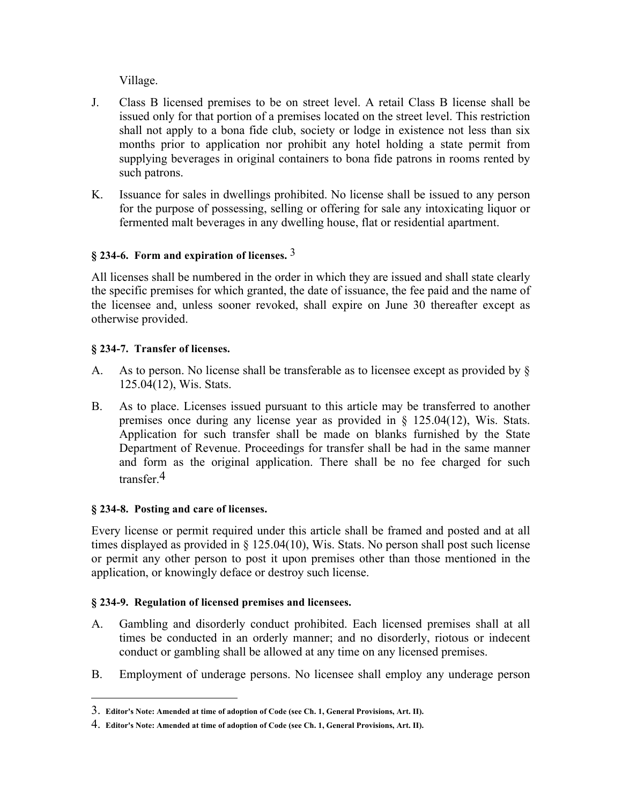Village.

- J. Class B licensed premises to be on street level. A retail Class B license shall be issued only for that portion of a premises located on the street level. This restriction shall not apply to a bona fide club, society or lodge in existence not less than six months prior to application nor prohibit any hotel holding a state permit from supplying beverages in original containers to bona fide patrons in rooms rented by such patrons.
- K. Issuance for sales in dwellings prohibited. No license shall be issued to any person for the purpose of possessing, selling or offering for sale any intoxicating liquor or fermented malt beverages in any dwelling house, flat or residential apartment.

# **§ 234-6. Form and expiration of licenses.** 3

All licenses shall be numbered in the order in which they are issued and shall state clearly the specific premises for which granted, the date of issuance, the fee paid and the name of the licensee and, unless sooner revoked, shall expire on June 30 thereafter except as otherwise provided.

# **§ 234-7. Transfer of licenses.**

- A. As to person. No license shall be transferable as to licensee except as provided by § 125.04(12), Wis. Stats.
- B. As to place. Licenses issued pursuant to this article may be transferred to another premises once during any license year as provided in § 125.04(12), Wis. Stats. Application for such transfer shall be made on blanks furnished by the State Department of Revenue. Proceedings for transfer shall be had in the same manner and form as the original application. There shall be no fee charged for such transfer  $4$

# **§ 234-8. Posting and care of licenses.**

 $\overline{a}$ 

Every license or permit required under this article shall be framed and posted and at all times displayed as provided in § 125.04(10), Wis. Stats. No person shall post such license or permit any other person to post it upon premises other than those mentioned in the application, or knowingly deface or destroy such license.

## **§ 234-9. Regulation of licensed premises and licensees.**

- A. Gambling and disorderly conduct prohibited. Each licensed premises shall at all times be conducted in an orderly manner; and no disorderly, riotous or indecent conduct or gambling shall be allowed at any time on any licensed premises.
- B. Employment of underage persons. No licensee shall employ any underage person

<sup>3.</sup> **Editor's Note: Amended at time of adoption of Code (see Ch. 1, General Provisions, Art. II).** 

<sup>4.</sup> **Editor's Note: Amended at time of adoption of Code (see Ch. 1, General Provisions, Art. II).**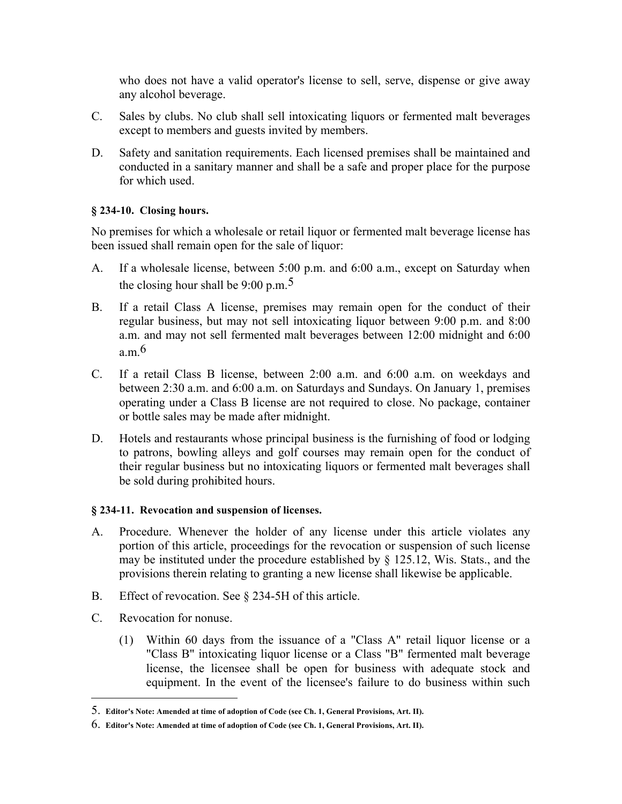who does not have a valid operator's license to sell, serve, dispense or give away any alcohol beverage.

- C. Sales by clubs. No club shall sell intoxicating liquors or fermented malt beverages except to members and guests invited by members.
- D. Safety and sanitation requirements. Each licensed premises shall be maintained and conducted in a sanitary manner and shall be a safe and proper place for the purpose for which used.

## **§ 234-10. Closing hours.**

No premises for which a wholesale or retail liquor or fermented malt beverage license has been issued shall remain open for the sale of liquor:

- A. If a wholesale license, between 5:00 p.m. and 6:00 a.m., except on Saturday when the closing hour shall be  $9:00 \text{ p.m.}^5$
- B. If a retail Class A license, premises may remain open for the conduct of their regular business, but may not sell intoxicating liquor between 9:00 p.m. and 8:00 a.m. and may not sell fermented malt beverages between 12:00 midnight and 6:00 a m $6$
- C. If a retail Class B license, between 2:00 a.m. and 6:00 a.m. on weekdays and between 2:30 a.m. and 6:00 a.m. on Saturdays and Sundays. On January 1, premises operating under a Class B license are not required to close. No package, container or bottle sales may be made after midnight.
- D. Hotels and restaurants whose principal business is the furnishing of food or lodging to patrons, bowling alleys and golf courses may remain open for the conduct of their regular business but no intoxicating liquors or fermented malt beverages shall be sold during prohibited hours.

## **§ 234-11. Revocation and suspension of licenses.**

- A. Procedure. Whenever the holder of any license under this article violates any portion of this article, proceedings for the revocation or suspension of such license may be instituted under the procedure established by § 125.12, Wis. Stats., and the provisions therein relating to granting a new license shall likewise be applicable.
- B. Effect of revocation. See § 234-5H of this article.
- C. Revocation for nonuse.

 $\overline{a}$ 

(1) Within 60 days from the issuance of a "Class A" retail liquor license or a "Class B" intoxicating liquor license or a Class "B" fermented malt beverage license, the licensee shall be open for business with adequate stock and equipment. In the event of the licensee's failure to do business within such

<sup>5.</sup> **Editor's Note: Amended at time of adoption of Code (see Ch. 1, General Provisions, Art. II).** 

<sup>6.</sup> **Editor's Note: Amended at time of adoption of Code (see Ch. 1, General Provisions, Art. II).**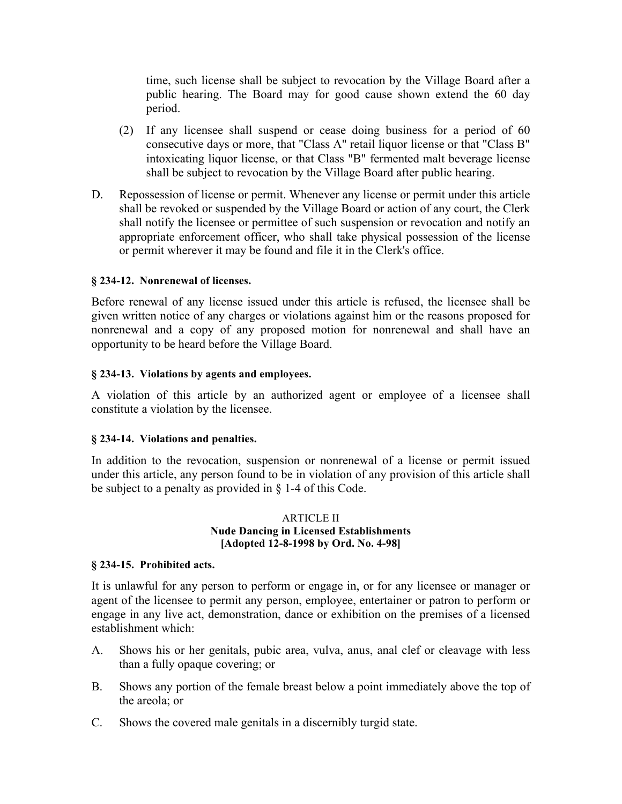time, such license shall be subject to revocation by the Village Board after a public hearing. The Board may for good cause shown extend the 60 day period.

- (2) If any licensee shall suspend or cease doing business for a period of 60 consecutive days or more, that "Class A" retail liquor license or that "Class B" intoxicating liquor license, or that Class "B" fermented malt beverage license shall be subject to revocation by the Village Board after public hearing.
- D. Repossession of license or permit. Whenever any license or permit under this article shall be revoked or suspended by the Village Board or action of any court, the Clerk shall notify the licensee or permittee of such suspension or revocation and notify an appropriate enforcement officer, who shall take physical possession of the license or permit wherever it may be found and file it in the Clerk's office.

## **§ 234-12. Nonrenewal of licenses.**

Before renewal of any license issued under this article is refused, the licensee shall be given written notice of any charges or violations against him or the reasons proposed for nonrenewal and a copy of any proposed motion for nonrenewal and shall have an opportunity to be heard before the Village Board.

## **§ 234-13. Violations by agents and employees.**

A violation of this article by an authorized agent or employee of a licensee shall constitute a violation by the licensee.

## **§ 234-14. Violations and penalties.**

In addition to the revocation, suspension or nonrenewal of a license or permit issued under this article, any person found to be in violation of any provision of this article shall be subject to a penalty as provided in § 1-4 of this Code.

### ARTICLE II **Nude Dancing in Licensed Establishments [Adopted 12-8-1998 by Ord. No. 4-98]**

## **§ 234-15. Prohibited acts.**

It is unlawful for any person to perform or engage in, or for any licensee or manager or agent of the licensee to permit any person, employee, entertainer or patron to perform or engage in any live act, demonstration, dance or exhibition on the premises of a licensed establishment which:

- A. Shows his or her genitals, pubic area, vulva, anus, anal clef or cleavage with less than a fully opaque covering; or
- B. Shows any portion of the female breast below a point immediately above the top of the areola; or
- C. Shows the covered male genitals in a discernibly turgid state.